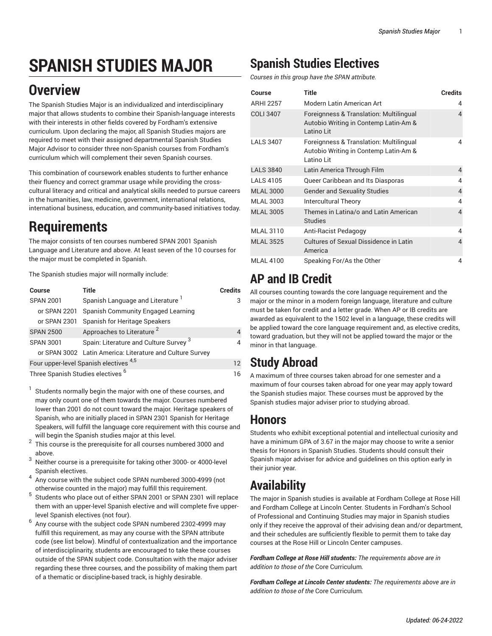# **SPANISH STUDIES MAJOR**

## **Overview**

The Spanish Studies Major is an individualized and interdisciplinary major that allows students to combine their Spanish-language interests with their interests in other fields covered by Fordham's extensive curriculum. Upon declaring the major, all Spanish Studies majors are required to meet with their assigned departmental Spanish Studies Major Advisor to consider three non-Spanish courses from Fordham's curriculum which will complement their seven Spanish courses.

This combination of coursework enables students to further enhance their fluency and correct grammar usage while providing the crosscultural literacy and critical and analytical skills needed to pursue careers in the humanities, law, medicine, government, international relations, international business, education, and community-based initiatives today.

## **Requirements**

The major consists of ten courses numbered SPAN 2001 Spanish Language and Literature and above. At least seven of the 10 courses for the major must be completed in Spanish.

The Spanish studies major will normally include:

| <b>Course</b>                                | Title                                                     | <b>Credits</b> |
|----------------------------------------------|-----------------------------------------------------------|----------------|
| <b>SPAN 2001</b>                             | Spanish Language and Literature <sup>1</sup>              | 3              |
| or SPAN 2201                                 | Spanish Community Engaged Learning                        |                |
| or SPAN 2301                                 | Spanish for Heritage Speakers                             |                |
| <b>SPAN 2500</b>                             | Approaches to Literature <sup>2</sup>                     |                |
| <b>SPAN 3001</b>                             | Spain: Literature and Culture Survey 3                    |                |
|                                              | or SPAN 3002 Latin America: Literature and Culture Survey |                |
| Four upper-level Spanish electives 4,5       |                                                           | 12             |
| Three Spanish Studies electives <sup>6</sup> |                                                           |                |

Three Spanish Studies electives

- 1 Students normally begin the major with one of these courses, and may only count one of them towards the major. Courses numbered lower than 2001 do not count toward the major. Heritage speakers of Spanish, who are initially placed in SPAN 2301 Spanish for Heritage Speakers, will fulfill the language core requirement with this course and will begin the Spanish studies major at this level.
- 2 This course is the prerequisite for all courses numbered 3000 and above.
- <sup>3</sup> Neither course is a prerequisite for taking other 3000- or 4000-level Spanish electives.
- 4 Any course with the [subject](https://bulletin.fordham.edu/courses/span/) code SPAN numbered 3000-4999 (not otherwise counted in the major) may fulfill this requirement.
- 5 Students who place out of either SPAN 2001 or SPAN 2301 will replace them with an upper-level Spanish elective and will complete five upperlevel Spanish electives (not four).
- 6 Any course with the [subject](https://bulletin.fordham.edu/courses/span/) code SPAN numbered 2302-4999 may fulfill this requirement, as may any course with the SPAN attribute code (see list below). Mindful of contextualization and the importance of interdisciplinarity, students are encouraged to take these courses outside of the SPAN [subject](https://bulletin.fordham.edu/courses/span/) code. Consultation with the major adviser regarding these three courses, and the possibility of making them part of a thematic or discipline-based track, is highly desirable.

#### **Spanish Studies Electives**

*Courses in this group have the SPAN attribute.*

| Course           | <b>Title</b>                                                                                     | <b>Credits</b> |
|------------------|--------------------------------------------------------------------------------------------------|----------------|
| <b>ARHI 2257</b> | Modern Latin American Art                                                                        | 4              |
| <b>COLI 3407</b> | Foreignness & Translation: Multilingual<br>Autobio Writing in Contemp Latin-Am &<br>Latino Lit   | 4              |
| <b>LALS 3407</b> | Foreignness & Translation: Multilingual<br>Autobio Writing in Contemp Latin-Am &<br>I atino I it | 4              |
| <b>LALS 3840</b> | Latin America Through Film                                                                       | $\overline{4}$ |
| <b>LALS 4105</b> | Queer Caribbean and Its Diasporas                                                                | 4              |
| <b>MLAL 3000</b> | <b>Gender and Sexuality Studies</b>                                                              | 4              |
| <b>MLAL 3003</b> | <b>Intercultural Theory</b>                                                                      | 4              |
| <b>MLAL 3005</b> | Themes in Latina/o and Latin American<br><b>Studies</b>                                          | 4              |
| <b>MLAL 3110</b> | Anti-Racist Pedagogy                                                                             | 4              |
| <b>MLAL 3525</b> | Cultures of Sexual Dissidence in Latin<br>America                                                | 4              |
| <b>MLAL 4100</b> | Speaking For/As the Other                                                                        | 4              |

### **AP and IB Credit**

All courses counting towards the core language requirement and the major or the minor in a modern foreign language, literature and culture must be taken for credit and a letter grade. When AP or IB credits are awarded as equivalent to the 1502 level in a language, these credits will be applied toward the core language requirement and, as elective credits, toward graduation, but they will not be applied toward the major or the minor in that language.

### **Study Abroad**

A maximum of three courses taken abroad for one semester and a maximum of four courses taken abroad for one year may apply toward the Spanish studies major. These courses must be approved by the Spanish studies major adviser prior to studying abroad.

#### **Honors**

Students who exhibit exceptional potential and intellectual curiosity and have a minimum GPA of 3.67 in the major may choose to write a senior thesis for Honors in Spanish Studies. Students should consult their Spanish major adviser for advice and guidelines on this option early in their junior year.

## **Availability**

The major in Spanish studies is available at Fordham College at Rose Hill and Fordham College at Lincoln Center. Students in Fordham's School of Professional and Continuing Studies may major in Spanish studies only if they receive the approval of their advising dean and/or department, and their schedules are sufficiently flexible to permit them to take day courses at the Rose Hill or Lincoln Center campuses.

*Fordham College at Rose Hill students: The requirements above are in addition to those of the* Core [Curriculum](https://bulletin.fordham.edu/undergraduate/academic-programs-policies-procedures/fordham-college-core-curriculum/)*.*

*Fordham College at Lincoln Center students: The requirements above are in addition to those of the* Core [Curriculum](https://bulletin.fordham.edu/undergraduate/academic-programs-policies-procedures/fordham-college-core-curriculum/)*.*